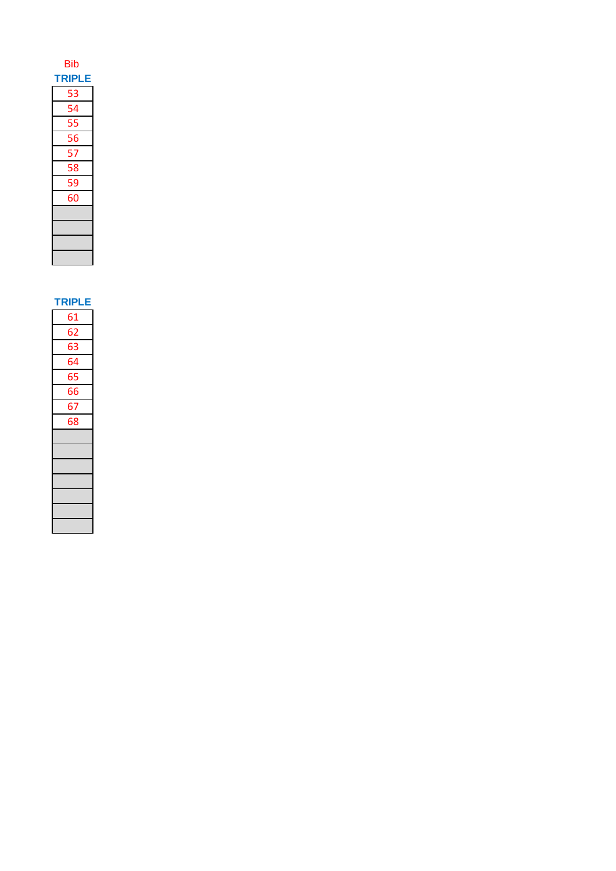| <b>Bib</b>    |  |
|---------------|--|
| <b>TRIPLE</b> |  |
| 53            |  |
| 54            |  |
| 55            |  |
| 56            |  |
| 57            |  |
| 58            |  |
| 59            |  |
| 60            |  |
|               |  |
|               |  |
|               |  |
|               |  |

**TRIPLE** 

| 61 |
|----|
| 62 |
| 63 |
| 64 |
| 65 |
| 66 |
| 67 |
| 68 |
|    |
|    |
|    |
|    |
|    |
|    |
|    |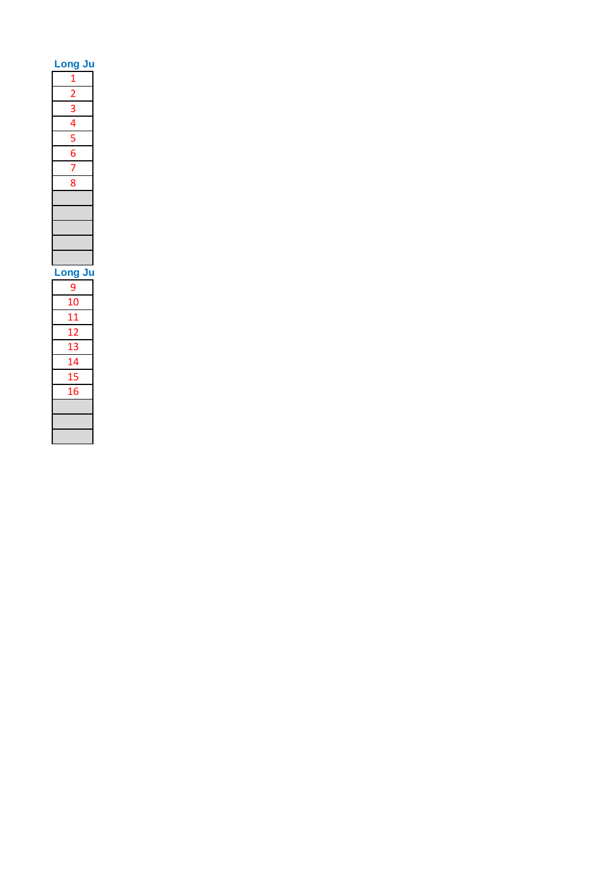| Long Ju                                                               |  |
|-----------------------------------------------------------------------|--|
|                                                                       |  |
|                                                                       |  |
|                                                                       |  |
|                                                                       |  |
| $\frac{1}{2}$ $\frac{2}{3}$ $\frac{3}{4}$ $\frac{5}{5}$ $\frac{6}{7}$ |  |
|                                                                       |  |
|                                                                       |  |
| 8                                                                     |  |
|                                                                       |  |
|                                                                       |  |
|                                                                       |  |
|                                                                       |  |
|                                                                       |  |
|                                                                       |  |
| Long Ju                                                               |  |
| $\overline{9}$                                                        |  |
| 10                                                                    |  |
| 11                                                                    |  |
| 12                                                                    |  |
| 13                                                                    |  |
| 14                                                                    |  |
| 15                                                                    |  |
| 16                                                                    |  |
|                                                                       |  |
|                                                                       |  |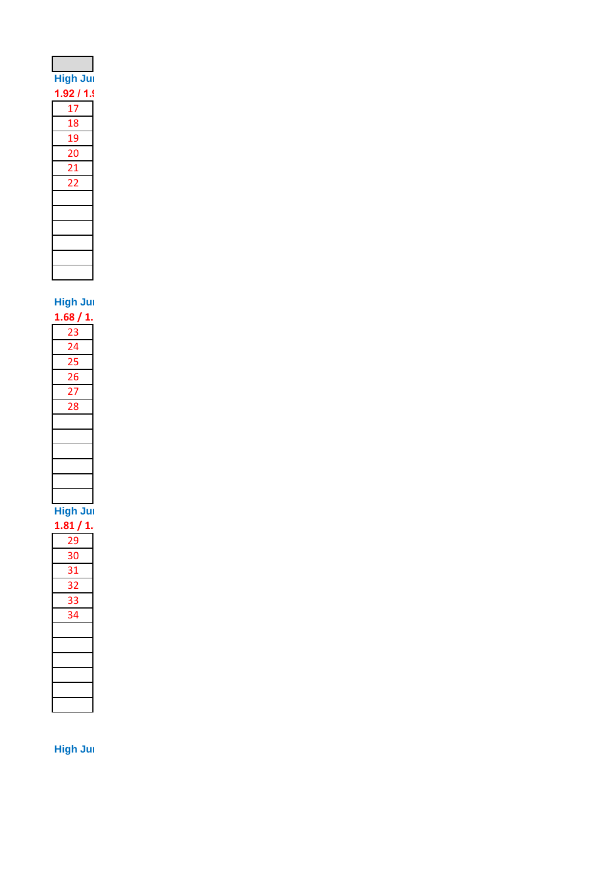| <b>High Jur</b> |  |
|-----------------|--|
| 1.92 / 1.9      |  |
| 17              |  |
| 18              |  |
| 19              |  |
| 20              |  |
| 21              |  |
| 22              |  |
|                 |  |
|                 |  |
|                 |  |
|                 |  |
|                 |  |
|                 |  |

**High Jum** 

**High Jump Pool B & 14.500 B & 14.500 B & 14.500 B & 14.500 B & 14.500 B & 14.500 B & 14.500 B & 14.500 B & 14.500 B & 14.500 B & 14.500 B & 14.500 B & 14.500 B & 14.500 B & 14.500 B & 14.500 B & 14.500 B & 14.500 B & 14.5** 

**1.81 / 1. 1.86 / 2.01 / 2.01 / 2.01 / 2.04 / 2.04 / 2.04 / 2.04 / 2.04 / 2.04 / 2.04 / 2.04 / 2.04 / 2.04 / 2.04 / 2.04 / 2.04 / 2.04 / 2.04 / 2.04 / 2.04 / 2.04 / 2.04 / 2.04 / 2.04 / 2.04 / 2.04 / 2.04 / 2.04 / 2.04 /** 

| 30              |
|-----------------|
| $\overline{31}$ |
| 32              |
| 33              |
| 34              |
|                 |
|                 |
|                 |
|                 |
|                 |
|                 |

**High Jum**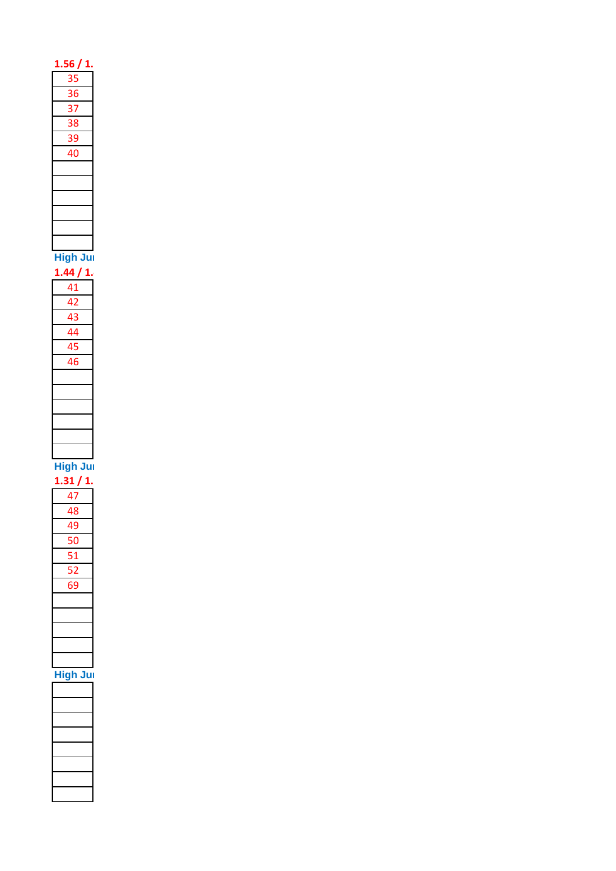| 1.56 / 1.       |  |
|-----------------|--|
|                 |  |
|                 |  |
| 35              |  |
| 36              |  |
|                 |  |
| 37              |  |
|                 |  |
| 38              |  |
| 39              |  |
|                 |  |
| 40              |  |
|                 |  |
|                 |  |
|                 |  |
|                 |  |
|                 |  |
|                 |  |
|                 |  |
|                 |  |
|                 |  |
|                 |  |
|                 |  |
| High Jui        |  |
| 1.44 / 1.       |  |
|                 |  |
| 41              |  |
| 42              |  |
|                 |  |
| 43              |  |
|                 |  |
| 44              |  |
| 45              |  |
|                 |  |
| 46              |  |
|                 |  |
|                 |  |
|                 |  |
|                 |  |
|                 |  |
|                 |  |
|                 |  |
|                 |  |
|                 |  |
|                 |  |
|                 |  |
|                 |  |
|                 |  |
| High Jul        |  |
| 1.31 / 1.       |  |
|                 |  |
| 47              |  |
| 48              |  |
|                 |  |
| 49              |  |
| 50              |  |
|                 |  |
| 51              |  |
|                 |  |
| 52              |  |
| 69              |  |
|                 |  |
|                 |  |
|                 |  |
|                 |  |
|                 |  |
|                 |  |
|                 |  |
|                 |  |
|                 |  |
| <b>High Jur</b> |  |
|                 |  |
|                 |  |
|                 |  |
|                 |  |
|                 |  |
|                 |  |
|                 |  |
|                 |  |
|                 |  |
|                 |  |
|                 |  |
|                 |  |
|                 |  |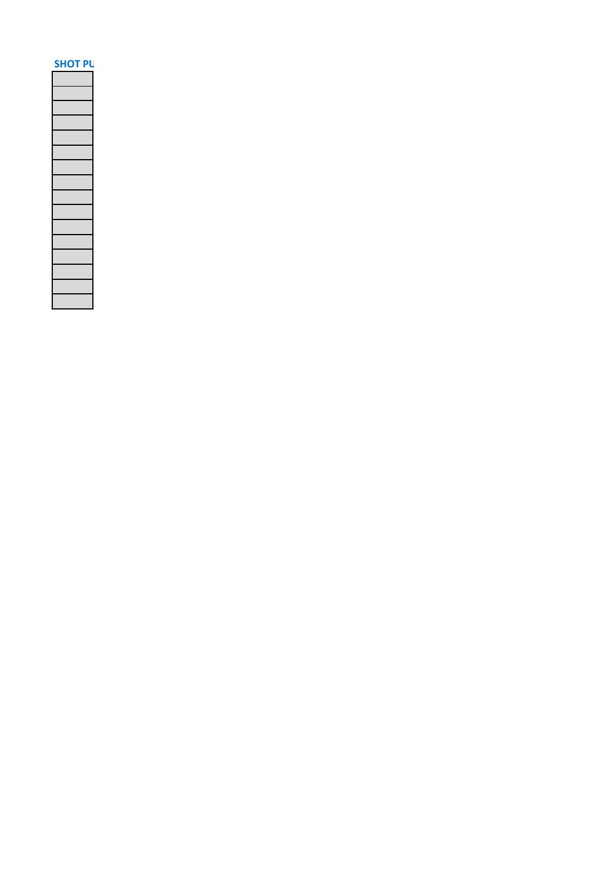| SΗ<br>Ο. |  |
|----------|--|
|          |  |
|          |  |
|          |  |
|          |  |
|          |  |
|          |  |
|          |  |
|          |  |
|          |  |
|          |  |
|          |  |
|          |  |
|          |  |
|          |  |
|          |  |
|          |  |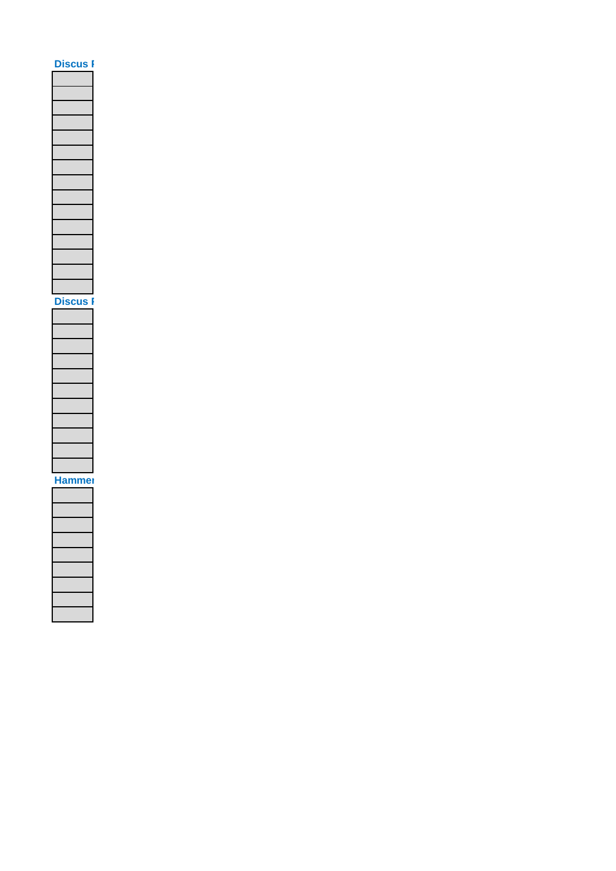# **Discus F Discus I** Hammer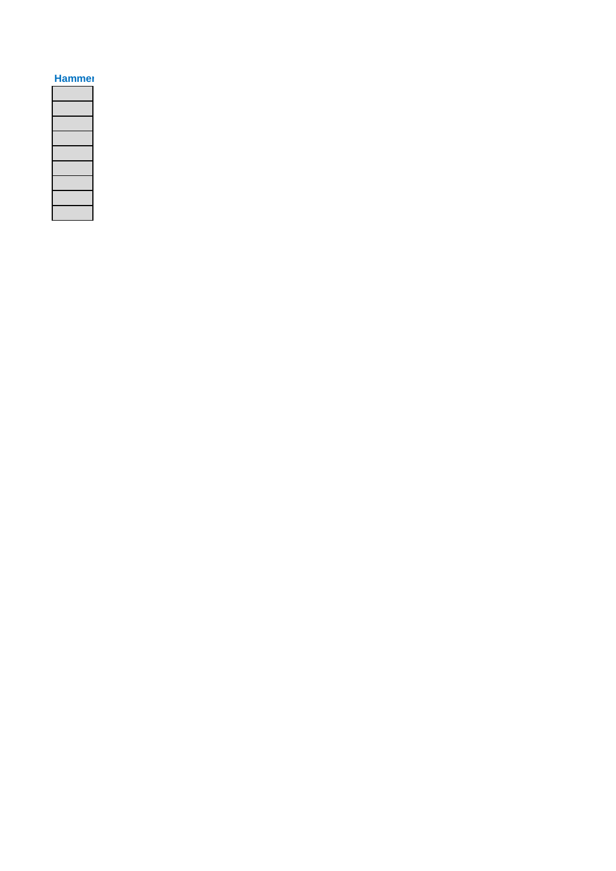### **Hammer**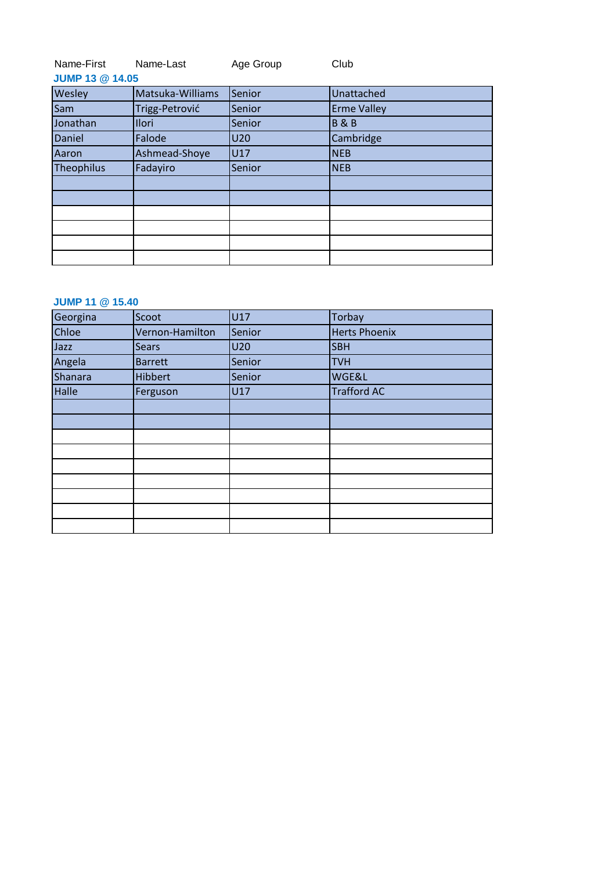| Name-First | Name-Last | Age Group | Club |
|------------|-----------|-----------|------|
|------------|-----------|-----------|------|

| <b>JUMP 13 @ 14.05</b> |                  |        |                    |  |
|------------------------|------------------|--------|--------------------|--|
| Wesley                 | Matsuka-Williams | Senior | Unattached         |  |
| Sam                    | Trigg-Petrović   | Senior | <b>Erme Valley</b> |  |
| Jonathan               | Ilori            | Senior | <b>B&amp;B</b>     |  |
| Daniel                 | Falode           | U20    | Cambridge          |  |
| Aaron                  | Ashmead-Shoye    | U17    | <b>NEB</b>         |  |
| Theophilus             | Fadayiro         | Senior | <b>NEB</b>         |  |
|                        |                  |        |                    |  |
|                        |                  |        |                    |  |
|                        |                  |        |                    |  |
|                        |                  |        |                    |  |
|                        |                  |        |                    |  |
|                        |                  |        |                    |  |

### **JUMP 11 @ 15.40**

| Georgina | Scoot           | U17    | Torbay               |
|----------|-----------------|--------|----------------------|
| Chloe    | Vernon-Hamilton | Senior | <b>Herts Phoenix</b> |
| Jazz     | <b>Sears</b>    | U20    | <b>SBH</b>           |
| Angela   | <b>Barrett</b>  | Senior | <b>TVH</b>           |
| Shanara  | <b>Hibbert</b>  | Senior | <b>WGE&amp;L</b>     |
| Halle    | Ferguson        | U17    | <b>Trafford AC</b>   |
|          |                 |        |                      |
|          |                 |        |                      |
|          |                 |        |                      |
|          |                 |        |                      |
|          |                 |        |                      |
|          |                 |        |                      |
|          |                 |        |                      |
|          |                 |        |                      |
|          |                 |        |                      |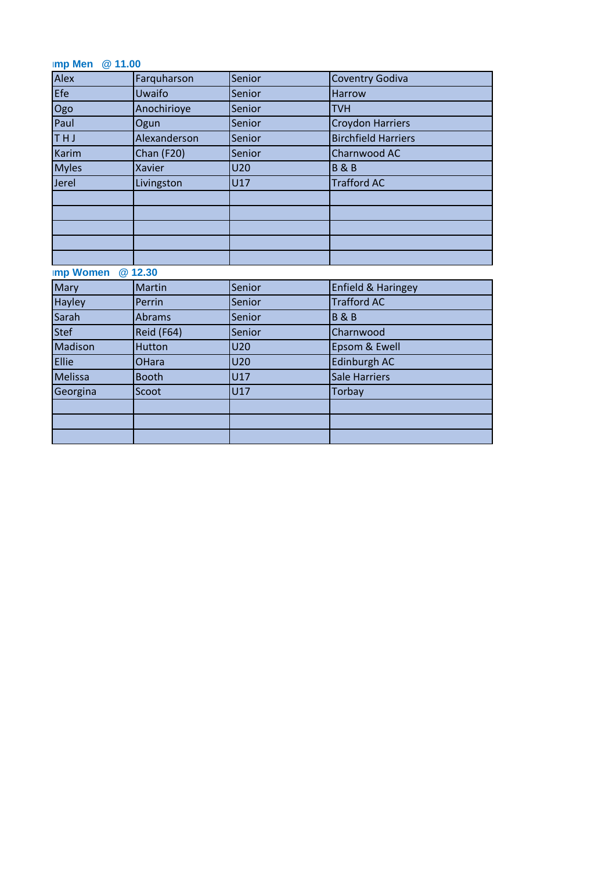# **Imp Men** @ 11.00

| Alex             | Farquharson       | Senior     | <b>Coventry Godiva</b>        |
|------------------|-------------------|------------|-------------------------------|
| Efe              | Uwaifo            | Senior     | <b>Harrow</b>                 |
| Ogo              | Anochirioye       | Senior     | <b>TVH</b>                    |
| Paul             | Ogun              | Senior     | <b>Croydon Harriers</b>       |
| THJ              | Alexanderson      | Senior     | <b>Birchfield Harriers</b>    |
| <b>Karim</b>     | <b>Chan (F20)</b> | Senior     | Charnwood AC                  |
| <b>Myles</b>     | Xavier            | <b>U20</b> | <b>B&amp;B</b>                |
| Jerel            | Livingston        | U17        | <b>Trafford AC</b>            |
|                  |                   |            |                               |
|                  |                   |            |                               |
|                  |                   |            |                               |
|                  |                   |            |                               |
|                  |                   |            |                               |
| <b>Imp Women</b> | @12.30            |            |                               |
| Mary             | Martin            | Senior     | <b>Enfield &amp; Haringey</b> |
| Hayley           | Perrin            | Senior     | <b>Trafford AC</b>            |
| Sarah            | <b>Abrams</b>     | Senior     | <b>B&amp;B</b>                |
| <b>Stef</b>      | Reid (F64)        | Senior     | Charnwood                     |
| Madison          | Hutton            | <b>U20</b> | Epsom & Ewell                 |
| Ellie            | <b>OHara</b>      | <b>U20</b> | Edinburgh AC                  |
| Melissa          | <b>Booth</b>      | U17        | <b>Sale Harriers</b>          |
| Georgina         | Scoot             | U17        | <b>Torbay</b>                 |
|                  |                   |            |                               |
|                  |                   |            |                               |
|                  |                   |            |                               |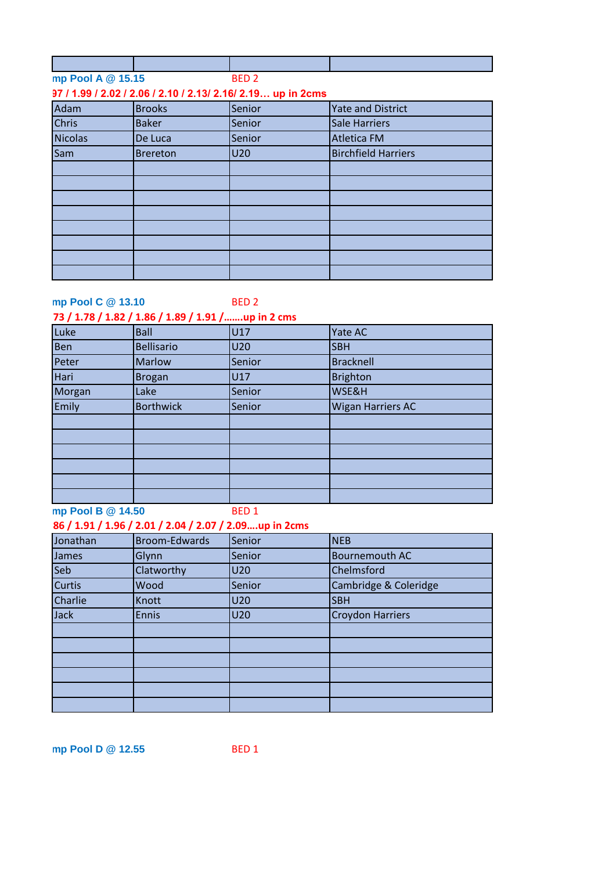| mp Pool A @ 15.15 | <b>RFD<sub>2</sub></b> |  |
|-------------------|------------------------|--|

### **1.92 / 1.97 / 1.99 / 2.02 / 2.06 / 2.10 / 2.13/ 2.16/ 2.19… up in 2cms**

| Adam         | <b>Brooks</b>   | Senior | <b>Yate and District</b>   |
|--------------|-----------------|--------|----------------------------|
| <b>Chris</b> | <b>Baker</b>    | Senior | Sale Harriers              |
| Nicolas      | De Luca         | Senior | <b>Atletica FM</b>         |
| Sam          | <b>Brereton</b> | U20    | <b>Birchfield Harriers</b> |
|              |                 |        |                            |
|              |                 |        |                            |
|              |                 |        |                            |
|              |                 |        |                            |
|              |                 |        |                            |
|              |                 |        |                            |
|              |                 |        |                            |
|              |                 |        |                            |

### **High Pool C @ 13.10**

### BED 2

# **1.68 / 1.73 / 1.78 / 1.82 / 1.86 / 1.89 / 1.91 /…….up in 2 cms**

| Luke   | <b>Ball</b>       | U17    | Yate AC                  |
|--------|-------------------|--------|--------------------------|
| Ben    | <b>Bellisario</b> | U20    | <b>SBH</b>               |
| Peter  | <b>Marlow</b>     | Senior | <b>Bracknell</b>         |
| Hari   | <b>Brogan</b>     | U17    | <b>Brighton</b>          |
| Morgan | Lake              | Senior | WSE&H                    |
| Emily  | <b>Borthwick</b>  | Senior | <b>Wigan Harriers AC</b> |
|        |                   |        |                          |
|        |                   |        |                          |
|        |                   |        |                          |
|        |                   |        |                          |
|        |                   |        |                          |
|        |                   |        |                          |

**High Pool B @ 14.50** 

BED 1

### **1.81 / 1.86 / 1.91 / 1.96 / 2.01 / 2.04 / 2.07 / 2.09….up in 2cms**

| Jonathan      | Broom-Edwards | Senior | <b>NEB</b>              |
|---------------|---------------|--------|-------------------------|
| James         | Glynn         | Senior | <b>Bournemouth AC</b>   |
| <b>Seb</b>    | Clatworthy    | U20    | Chelmsford              |
| <b>Curtis</b> | Wood          | Senior | Cambridge & Coleridge   |
| Charlie       | Knott         | U20    | <b>SBH</b>              |
| Jack          | <b>Ennis</b>  | U20    | <b>Croydon Harriers</b> |
|               |               |        |                         |
|               |               |        |                         |
|               |               |        |                         |
|               |               |        |                         |
|               |               |        |                         |
|               |               |        |                         |

**High Jump Pool D @ 12.55**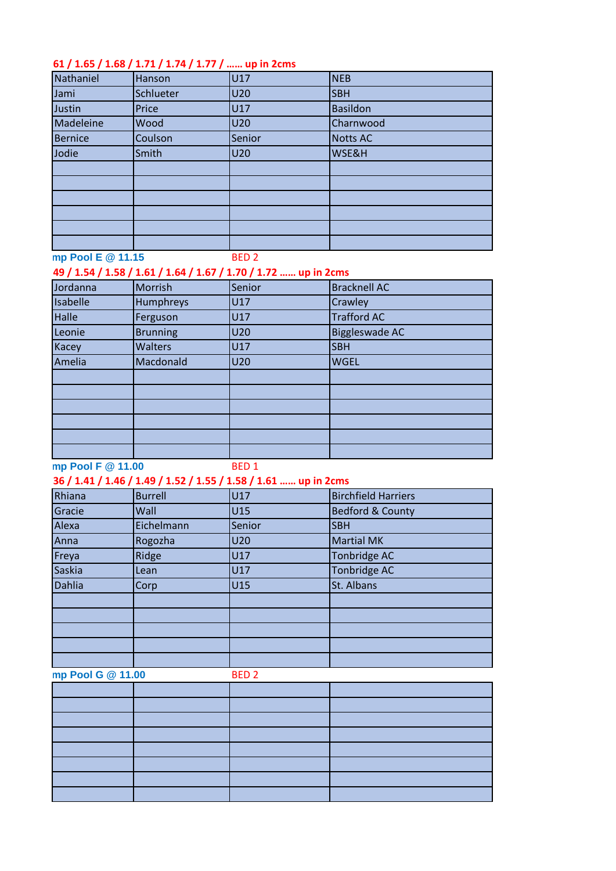# **1.56 / 1.61 / 1.65 / 1.68 / 1.71 / 1.74 / 1.77 / …… up in 2cms**

| Nathaniel | Hanson           | U17    | <b>NEB</b>      |
|-----------|------------------|--------|-----------------|
| Jami      | <b>Schlueter</b> | U20    | <b>SBH</b>      |
| Justin    | Price            | U17    | <b>Basildon</b> |
| Madeleine | Wood             | U20    | Charnwood       |
| Bernice   | Coulson          | Senior | <b>Notts AC</b> |
| Jodie     | Smith            | U20    | WSE&H           |
|           |                  |        |                 |
|           |                  |        |                 |
|           |                  |        |                 |
|           |                  |        |                 |
|           |                  |        |                 |
|           |                  |        |                 |

**High Pool E @ 11.15** 

# BED 2

| 49 / 1.54 / 1.58 / 1.61 / 1.64 / 1.67 / 1.70 / 1.72  up in 2cms |                 |        |                     |  |
|-----------------------------------------------------------------|-----------------|--------|---------------------|--|
| Jordanna                                                        | Morrish         | Senior | <b>Bracknell AC</b> |  |
| Isabelle                                                        | Humphreys       | U17    | Crawley             |  |
| <b>Halle</b>                                                    | Ferguson        | U17    | <b>Trafford AC</b>  |  |
| Leonie                                                          | <b>Brunning</b> | U20    | Biggleswade AC      |  |
| Kacey                                                           | <b>Walters</b>  | U17    | <b>SBH</b>          |  |
| Amelia                                                          | Macdonald       | U20    | <b>WGEL</b>         |  |
|                                                                 |                 |        |                     |  |
|                                                                 |                 |        |                     |  |
|                                                                 |                 |        |                     |  |
|                                                                 |                 |        |                     |  |
|                                                                 |                 |        |                     |  |
|                                                                 |                 |        |                     |  |

# **High Pool F @ 11.00**

BED 1

### **1.31 / 1.36 / 1.41 / 1.46 / 1.49 / 1.52 / 1.55 / 1.58 / 1.61 …… up in 2cms**

| Rhiana        | <b>Burrell</b> | U17        | <b>Birchfield Harriers</b>  |
|---------------|----------------|------------|-----------------------------|
| Gracie        | Wall           | U15        | <b>Bedford &amp; County</b> |
| Alexa         | Eichelmann     | Senior     | <b>SBH</b>                  |
| Anna          | Rogozha        | <b>U20</b> | <b>Martial MK</b>           |
| Freya         | Ridge          | U17        | Tonbridge AC                |
| Saskia        | Lean           | U17        | Tonbridge AC                |
| <b>Dahlia</b> | Corp           | U15        | St. Albans                  |
|               |                |            |                             |
|               |                |            |                             |
|               |                |            |                             |
|               |                |            |                             |
|               |                |            |                             |

**High Pool G @ 11.00** 

BED 2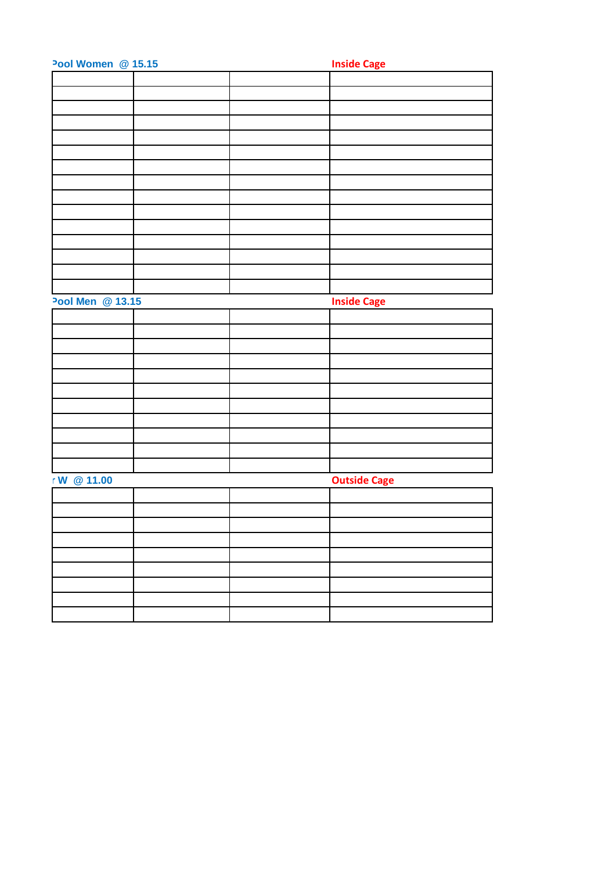| Pool Women @ 15.15 |  | <b>Inside Cage</b>  |
|--------------------|--|---------------------|
|                    |  |                     |
|                    |  |                     |
|                    |  |                     |
|                    |  |                     |
|                    |  |                     |
|                    |  |                     |
|                    |  |                     |
|                    |  |                     |
|                    |  |                     |
|                    |  |                     |
|                    |  |                     |
|                    |  |                     |
|                    |  |                     |
|                    |  |                     |
|                    |  |                     |
| Pool Men @ 13.15   |  | <b>Inside Cage</b>  |
|                    |  |                     |
|                    |  |                     |
|                    |  |                     |
|                    |  |                     |
|                    |  |                     |
|                    |  |                     |
|                    |  |                     |
|                    |  |                     |
|                    |  |                     |
|                    |  |                     |
|                    |  |                     |
| r W @ 11.00        |  | <b>Outside Cage</b> |
|                    |  |                     |
|                    |  |                     |
|                    |  |                     |
|                    |  |                     |
|                    |  |                     |
|                    |  |                     |
|                    |  |                     |
|                    |  |                     |
|                    |  |                     |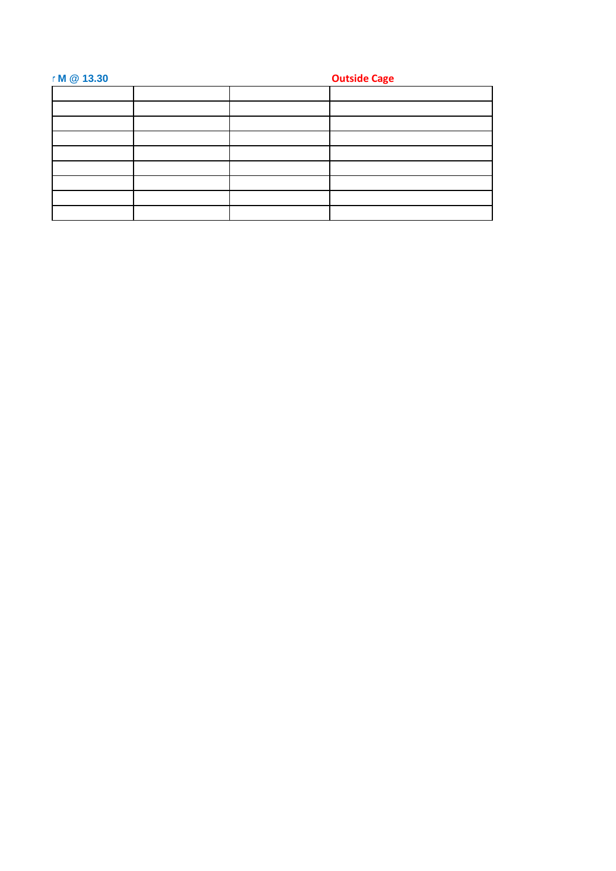| r M @ 13.30 |  | <b>Outside Cage</b> |
|-------------|--|---------------------|
|             |  |                     |
|             |  |                     |
|             |  |                     |
|             |  |                     |
|             |  |                     |
|             |  |                     |
|             |  |                     |
|             |  |                     |
|             |  |                     |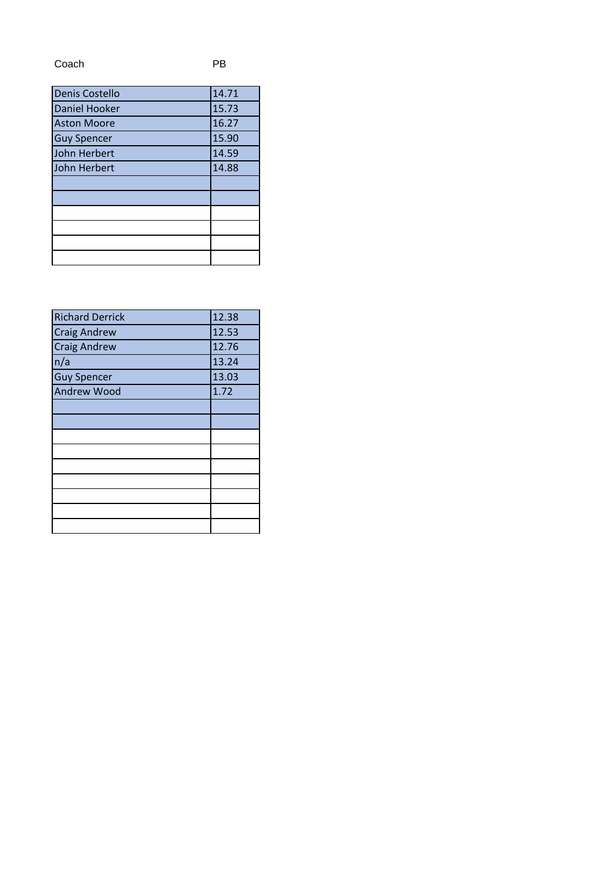Coach PB

| Denis Costello     | 14.71 |
|--------------------|-------|
| Daniel Hooker      | 15.73 |
| <b>Aston Moore</b> | 16.27 |
| <b>Guy Spencer</b> | 15.90 |
| John Herbert       | 14.59 |
| John Herbert       | 14.88 |
|                    |       |
|                    |       |
|                    |       |
|                    |       |
|                    |       |
|                    |       |

| <b>Richard Derrick</b> | 12.38 |
|------------------------|-------|
| <b>Craig Andrew</b>    | 12.53 |
| <b>Craig Andrew</b>    | 12.76 |
| n/a                    | 13.24 |
| <b>Guy Spencer</b>     | 13.03 |
| <b>Andrew Wood</b>     | 1.72  |
|                        |       |
|                        |       |
|                        |       |
|                        |       |
|                        |       |
|                        |       |
|                        |       |
|                        |       |
|                        |       |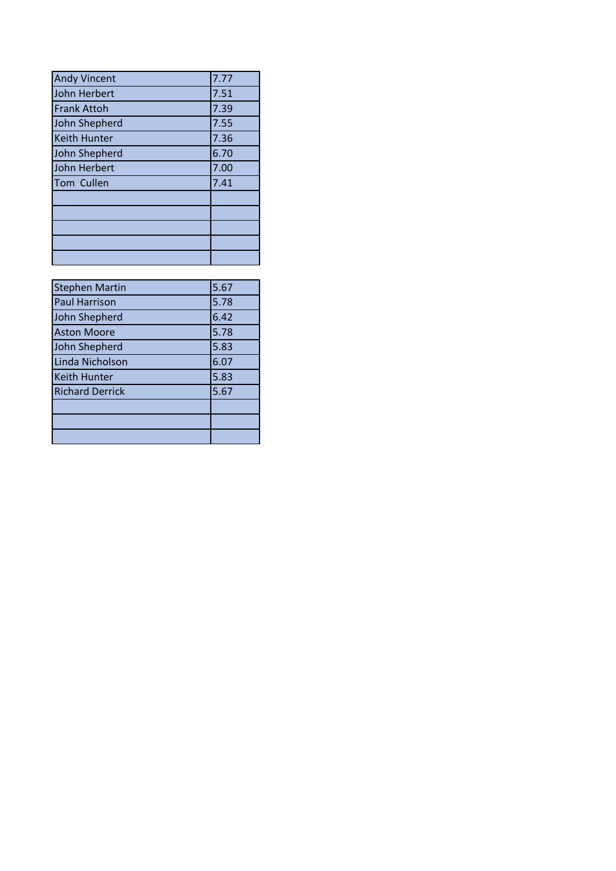| <b>Andy Vincent</b> | 7.77 |
|---------------------|------|
| John Herbert        | 7.51 |
| <b>Frank Attoh</b>  | 7.39 |
| John Shepherd       | 7.55 |
| <b>Keith Hunter</b> | 7.36 |
| John Shepherd       | 6.70 |
| John Herbert        | 7.00 |
| Tom Cullen          | 7.41 |
|                     |      |
|                     |      |
|                     |      |
|                     |      |
|                     |      |

| <b>Stephen Martin</b>  | 5.67 |
|------------------------|------|
| <b>Paul Harrison</b>   | 5.78 |
| John Shepherd          | 6.42 |
| <b>Aston Moore</b>     | 5.78 |
| John Shepherd          | 5.83 |
| Linda Nicholson        | 6.07 |
| <b>Keith Hunter</b>    | 5.83 |
| <b>Richard Derrick</b> | 5.67 |
|                        |      |
|                        |      |
|                        |      |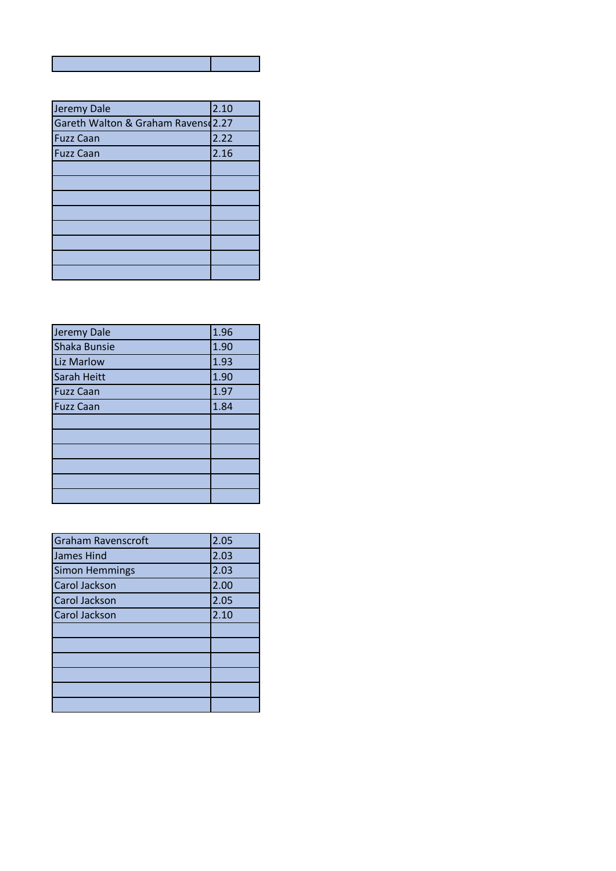| Jeremy Dale                        | 2.10 |
|------------------------------------|------|
| Gareth Walton & Graham Ravens 2.27 |      |
| <b>Fuzz Caan</b>                   | 2.22 |
| <b>Fuzz Caan</b>                   | 2.16 |
|                                    |      |
|                                    |      |
|                                    |      |
|                                    |      |
|                                    |      |
|                                    |      |
|                                    |      |
|                                    |      |

| Jeremy Dale       | 1.96 |
|-------------------|------|
| Shaka Bunsie      | 1.90 |
| <b>Liz Marlow</b> | 1.93 |
| Sarah Heitt       | 1.90 |
| <b>Fuzz Caan</b>  | 1.97 |
| <b>Fuzz Caan</b>  | 1.84 |
|                   |      |
|                   |      |
|                   |      |
|                   |      |
|                   |      |
|                   |      |

| <b>Graham Ravenscroft</b> | 2.05 |
|---------------------------|------|
| James Hind                | 2.03 |
| <b>Simon Hemmings</b>     | 2.03 |
| Carol Jackson             | 2.00 |
| Carol Jackson             | 2.05 |
| Carol Jackson             | 2.10 |
|                           |      |
|                           |      |
|                           |      |
|                           |      |
|                           |      |
|                           |      |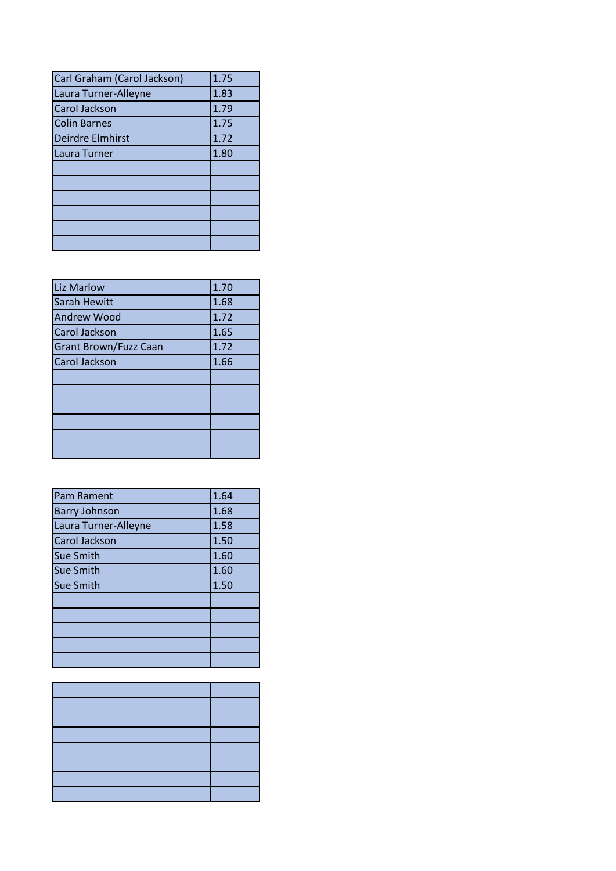| Carl Graham (Carol Jackson) | 1.75 |
|-----------------------------|------|
| Laura Turner-Alleyne        | 1.83 |
| <b>Carol Jackson</b>        | 1.79 |
| <b>Colin Barnes</b>         | 1.75 |
| Deirdre Elmhirst            | 1.72 |
| Laura Turner                | 1.80 |
|                             |      |
|                             |      |
|                             |      |
|                             |      |
|                             |      |
|                             |      |

| <b>Liz Marlow</b>            | 1.70 |
|------------------------------|------|
| Sarah Hewitt                 | 1.68 |
| <b>Andrew Wood</b>           | 1.72 |
| Carol Jackson                | 1.65 |
| <b>Grant Brown/Fuzz Caan</b> | 1.72 |
| <b>Carol Jackson</b>         | 1.66 |
|                              |      |
|                              |      |
|                              |      |
|                              |      |
|                              |      |
|                              |      |

| <b>Pam Rament</b>    | 1.64 |
|----------------------|------|
| <b>Barry Johnson</b> | 1.68 |
| Laura Turner-Alleyne | 1.58 |
| <b>Carol Jackson</b> | 1.50 |
| <b>Sue Smith</b>     | 1.60 |
| <b>Sue Smith</b>     | 1.60 |
| <b>Sue Smith</b>     | 1.50 |
|                      |      |
|                      |      |
|                      |      |
|                      |      |
|                      |      |